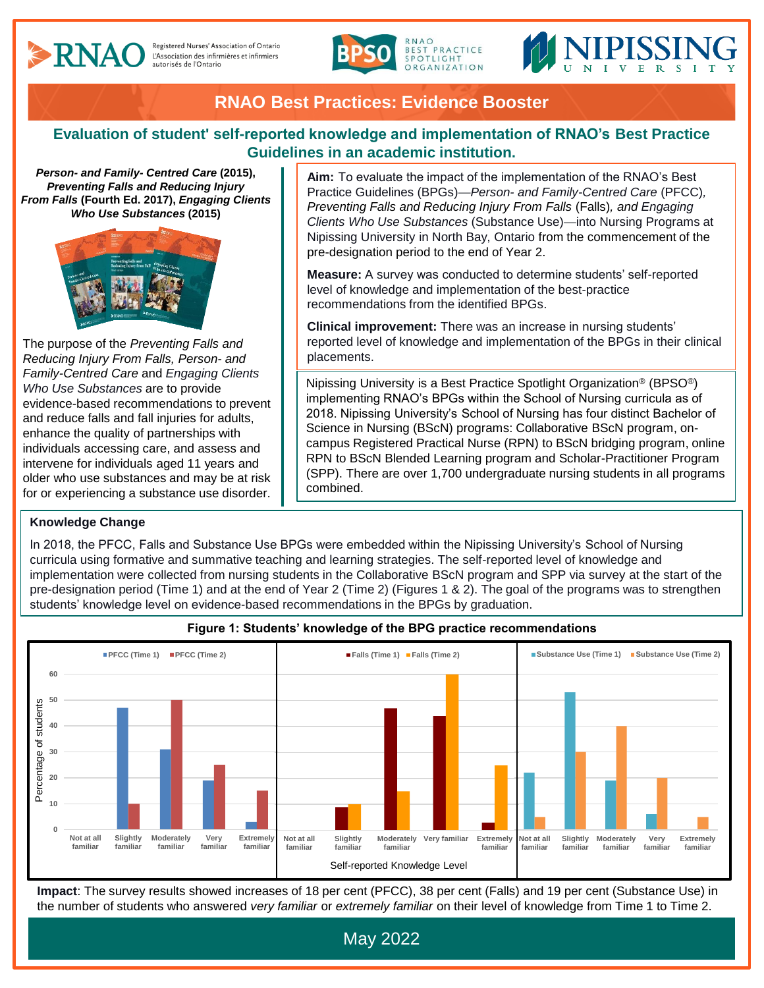



# **RNAO Best Practices: Evidence Booster**

### **Evaluation of student' self-reported knowledge and implementation of RNAO's Best Practice Guidelines in an academic institution.**

*Person- and Family- Centred Care* **(2015),**  *Preventing Falls and Reducing Injury From Falls* **(Fourth Ed. 2017),** *Engaging Clients Who Use Substances* **(2015)**



The purpose of the *Preventing Falls and Reducing Injury From Falls, Person- and Family-Centred Care* and *Engaging Clients Who Use Substances* are to provide evidence-based recommendations to prevent and reduce falls and fall injuries for adults, enhance the quality of partnerships with individuals accessing care, and assess and intervene for individuals aged 11 years and older who use substances and may be at risk for or experiencing a substance use disorder.

#### **Knowledge Change**

**Aim:** To evaluate the impact of the implementation of the RNAO's Best Practice Guidelines (BPGs)—*Person- and Family-Centred Care* (PFCC)*, Preventing Falls and Reducing Injury From Falls* (Falls)*, and Engaging Clients Who Use Substances* (Substance Use)—into Nursing Programs at Nipissing University in North Bay, Ontario from the commencement of the pre-designation period to the end of Year 2.

**Measure:** A survey was conducted to determine students' self-reported level of knowledge and implementation of the best-practice recommendations from the identified BPGs.

**Clinical improvement:** There was an increase in nursing students' reported level of knowledge and implementation of the BPGs in their clinical placements.

Nipissing University is a Best Practice Spotlight Organization® (BPSO®) implementing RNAO's BPGs within the School of Nursing curricula as of 2018. Nipissing University's School of Nursing has four distinct Bachelor of Science in Nursing (BScN) programs: Collaborative BScN program, oncampus Registered Practical Nurse (RPN) to BScN bridging program, online RPN to BScN Blended Learning program and Scholar-Practitioner Program (SPP). There are over 1,700 undergraduate nursing students in all programs combined.

In 2018, the PFCC, Falls and Substance Use BPGs were embedded within the Nipissing University's School of Nursing curricula using formative and summative teaching and learning strategies. The self-reported level of knowledge and implementation were collected from nursing students in the Collaborative BScN program and SPP via survey at the start of the pre-designation period (Time 1) and at the end of Year 2 (Time 2) (Figures 1 & 2). The goal of the programs was to strengthen students' knowledge level on evidence-based recommendations in the BPGs by graduation.



**Figure 1: Students' knowledge of the BPG practice recommendations**

**Impact**: The survey results showed increases of 18 per cent (PFCC), 38 per cent (Falls) and 19 per cent (Substance Use) in the number of students who answered *very familiar* or *extremely familiar* on their level of knowledge from Time 1 to Time 2.